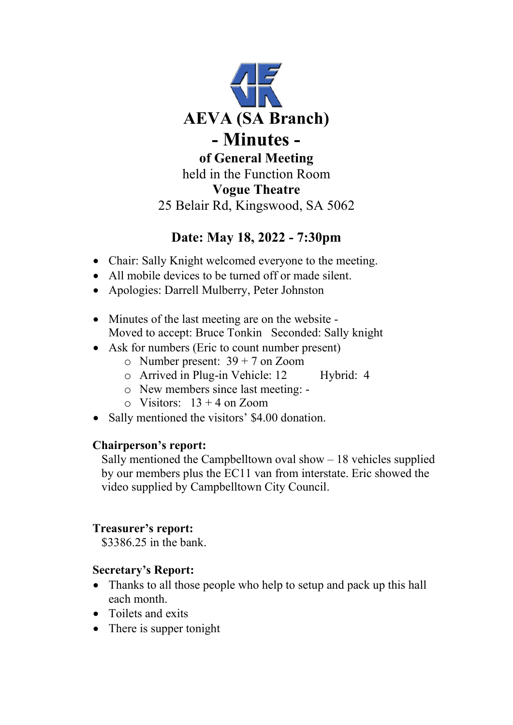

# **Date: May 18, 2022 - 7:30pm**

- Chair: Sally Knight welcomed everyone to the meeting.
- All mobile devices to be turned off or made silent.
- Apologies: Darrell Mulberry, Peter Johnston
- Minutes of the last meeting are on the website -Moved to accept: Bruce Tonkin Seconded: Sally knight
- Ask for numbers (Eric to count number present)
	- $\circ$  Number present: 39 + 7 on Zoom
	- o Arrived in Plug-in Vehicle: 12 Hybrid: 4
	- o New members since last meeting: -
	- $\circ$  Visitors: 13 + 4 on Zoom
- Sally mentioned the visitors' \$4.00 donation.

### **Chairperson's report:**

Sally mentioned the Campbelltown oval show  $-18$  vehicles supplied by our members plus the EC11 van from interstate. Eric showed the video supplied by Campbelltown City Council.

## **Treasurer's report:**

\$3386.25 in the bank.

## **Secretary's Report:**

- Thanks to all those people who help to setup and pack up this hall each month.
- Toilets and exits
- There is supper tonight